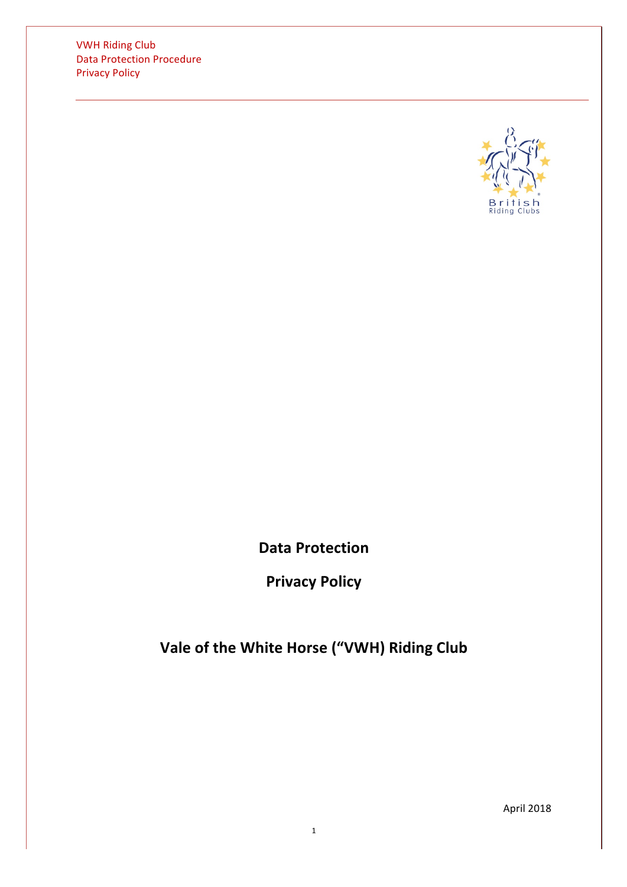**VWH Riding Club** Data Protection Procedure **Privacy Policy** 



**Data Protection**

**Privacy Policy**

Vale of the White Horse ("VWH) Riding Club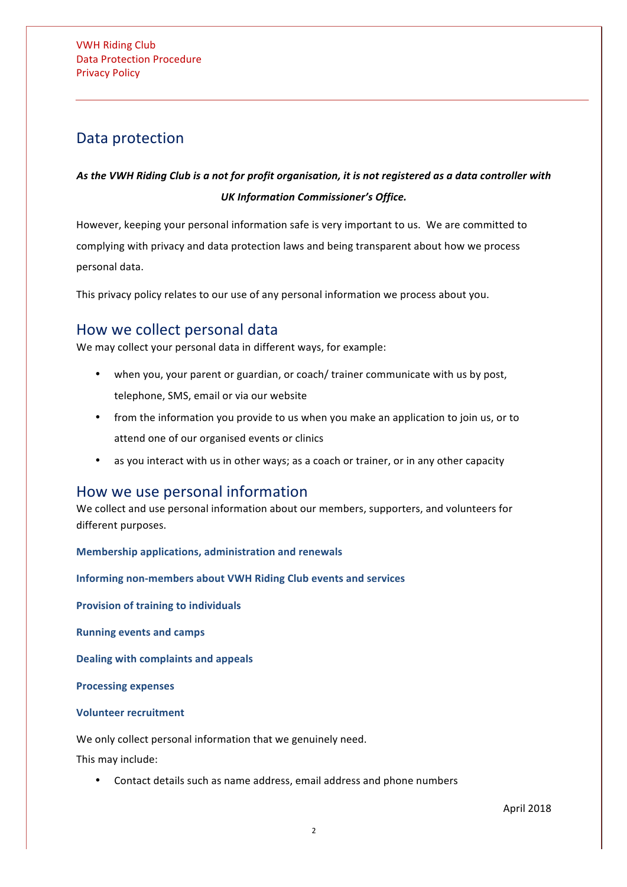## Data protection

### As the VWH Riding Club is a not for profit organisation, it is not registered as a data controller with *UK Information Commissioner's Office.*

However, keeping your personal information safe is very important to us. We are committed to complying with privacy and data protection laws and being transparent about how we process personal data.

This privacy policy relates to our use of any personal information we process about you.

### How we collect personal data

We may collect your personal data in different ways, for example:

- when you, your parent or guardian, or coach/ trainer communicate with us by post, telephone, SMS, email or via our website
- from the information you provide to us when you make an application to join us, or to attend one of our organised events or clinics
- as you interact with us in other ways; as a coach or trainer, or in any other capacity

### How we use personal information

We collect and use personal information about our members, supporters, and volunteers for different purposes.

**Membership applications, administration and renewals** 

**Informing non-members about VWH Riding Club events and services** 

**Provision of training to individuals** 

**Running events and camps** 

**Dealing with complaints and appeals** 

**Processing expenses**

### **Volunteer recruitment**

We only collect personal information that we genuinely need.

This may include:

• Contact details such as name address, email address and phone numbers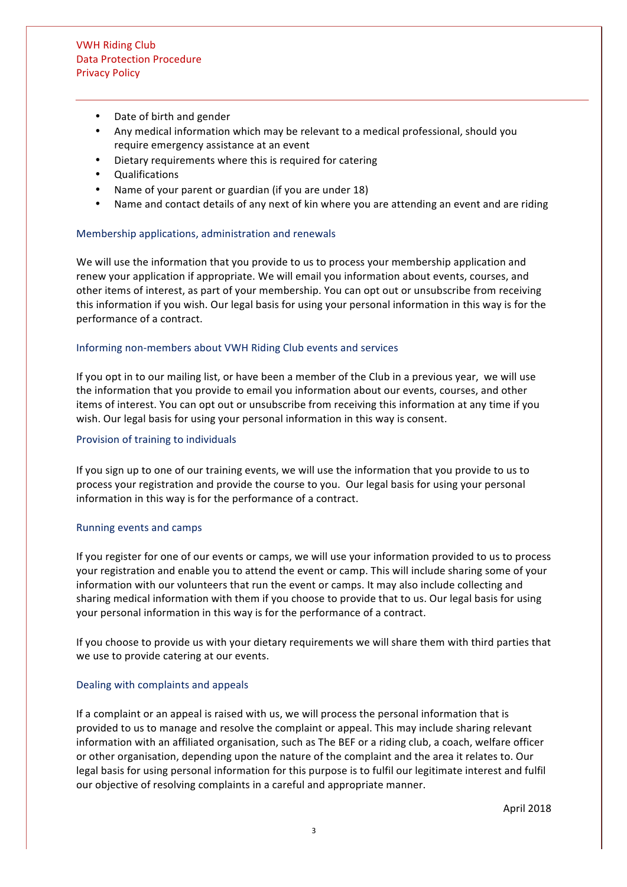- Date of birth and gender
- Any medical information which may be relevant to a medical professional, should you require emergency assistance at an event
- Dietary requirements where this is required for catering
- Qualifications
- Name of your parent or guardian (if you are under 18)
- Name and contact details of any next of kin where you are attending an event and are riding

#### Membership applications, administration and renewals

We will use the information that you provide to us to process your membership application and renew your application if appropriate. We will email you information about events, courses, and other items of interest, as part of your membership. You can opt out or unsubscribe from receiving this information if you wish. Our legal basis for using your personal information in this way is for the performance of a contract.

#### Informing non-members about VWH Riding Club events and services

If you opt in to our mailing list, or have been a member of the Club in a previous year, we will use the information that you provide to email you information about our events, courses, and other items of interest. You can opt out or unsubscribe from receiving this information at any time if you wish. Our legal basis for using your personal information in this way is consent.

#### Provision of training to individuals

If you sign up to one of our training events, we will use the information that you provide to us to process your registration and provide the course to you. Our legal basis for using your personal information in this way is for the performance of a contract.

#### Running events and camps

If you register for one of our events or camps, we will use your information provided to us to process your registration and enable you to attend the event or camp. This will include sharing some of your information with our volunteers that run the event or camps. It may also include collecting and sharing medical information with them if you choose to provide that to us. Our legal basis for using your personal information in this way is for the performance of a contract.

If you choose to provide us with your dietary requirements we will share them with third parties that we use to provide catering at our events.

#### Dealing with complaints and appeals

If a complaint or an appeal is raised with us, we will process the personal information that is provided to us to manage and resolve the complaint or appeal. This may include sharing relevant information with an affiliated organisation, such as The BEF or a riding club, a coach, welfare officer or other organisation, depending upon the nature of the complaint and the area it relates to. Our legal basis for using personal information for this purpose is to fulfil our legitimate interest and fulfil our objective of resolving complaints in a careful and appropriate manner.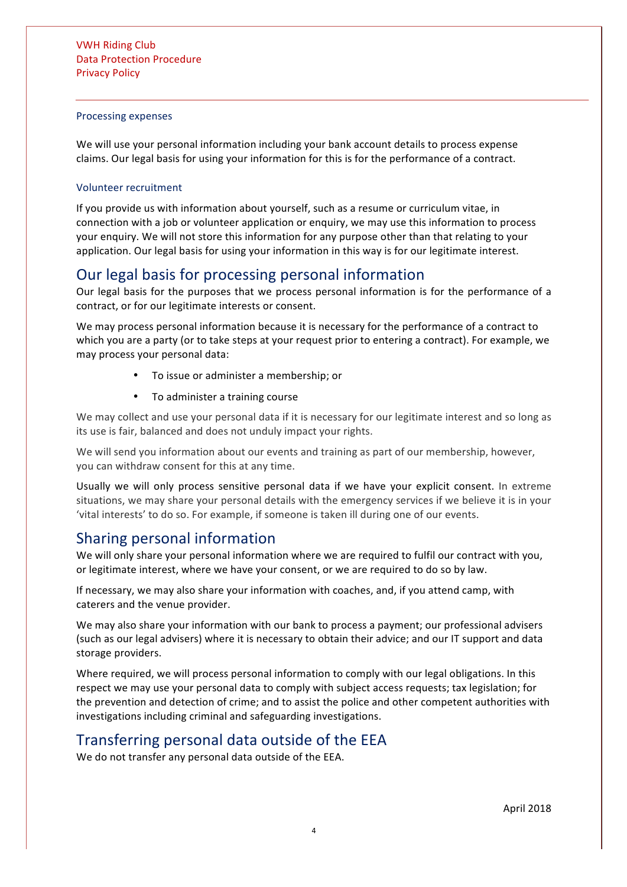#### Processing expenses

We will use your personal information including your bank account details to process expense claims. Our legal basis for using your information for this is for the performance of a contract.

### Volunteer recruitment

If you provide us with information about yourself, such as a resume or curriculum vitae, in connection with a job or volunteer application or enquiry, we may use this information to process your enquiry. We will not store this information for any purpose other than that relating to your application. Our legal basis for using your information in this way is for our legitimate interest.

### Our legal basis for processing personal information

Our legal basis for the purposes that we process personal information is for the performance of a contract, or for our legitimate interests or consent.

We may process personal information because it is necessary for the performance of a contract to which you are a party (or to take steps at your request prior to entering a contract). For example, we may process your personal data:

- To issue or administer a membership; or
- To administer a training course

We may collect and use your personal data if it is necessary for our legitimate interest and so long as its use is fair, balanced and does not unduly impact your rights.

We will send you information about our events and training as part of our membership, however, you can withdraw consent for this at any time.

Usually we will only process sensitive personal data if we have your explicit consent. In extreme situations, we may share your personal details with the emergency services if we believe it is in your 'vital interests' to do so. For example, if someone is taken ill during one of our events.

### Sharing personal information

We will only share your personal information where we are required to fulfil our contract with you, or legitimate interest, where we have your consent, or we are required to do so by law.

If necessary, we may also share your information with coaches, and, if you attend camp, with caterers and the venue provider.

We may also share your information with our bank to process a payment; our professional advisers (such as our legal advisers) where it is necessary to obtain their advice; and our IT support and data storage providers.

Where required, we will process personal information to comply with our legal obligations. In this respect we may use your personal data to comply with subject access requests; tax legislation; for the prevention and detection of crime; and to assist the police and other competent authorities with investigations including criminal and safeguarding investigations.

## Transferring personal data outside of the EEA

We do not transfer any personal data outside of the EEA.